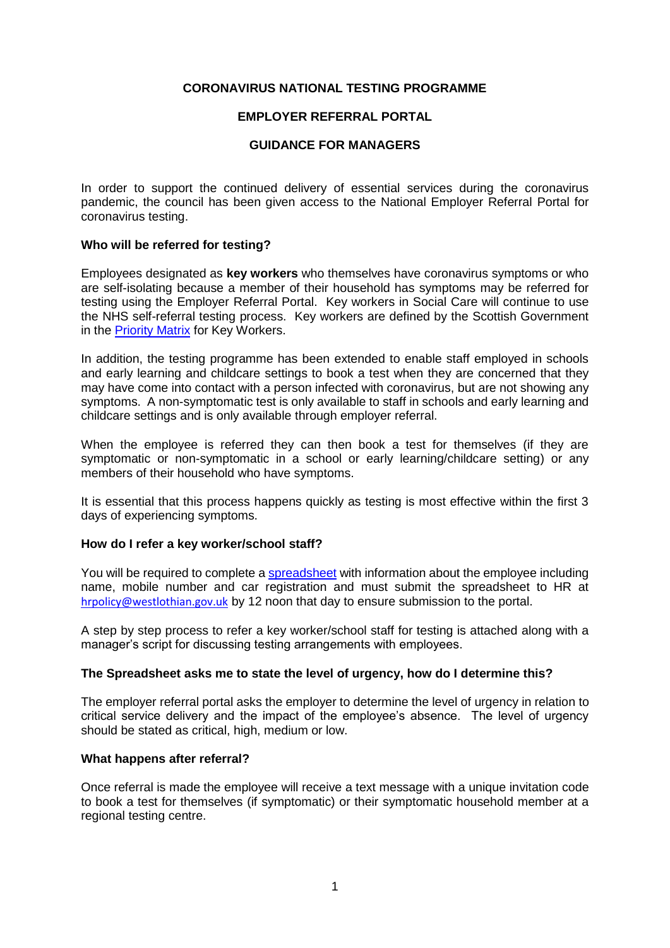# **CORONAVIRUS NATIONAL TESTING PROGRAMME**

# **EMPLOYER REFERRAL PORTAL**

# **GUIDANCE FOR MANAGERS**

In order to support the continued delivery of essential services during the coronavirus pandemic, the council has been given access to the National Employer Referral Portal for coronavirus testing.

# **Who will be referred for testing?**

Employees designated as **key workers** who themselves have coronavirus symptoms or who are self-isolating because a member of their household has symptoms may be referred for testing using the Employer Referral Portal. Key workers in Social Care will continue to use the NHS self-referral testing process. Key workers are defined by the Scottish Government in the [Priority Matrix](https://www.gov.scot/binaries/content/documents/govscot/publications/advice-and-guidance/2020/04/coronavirus-covid-19-access-to-testing-guide/documents/scottish-government-coronavirus-testing-prioritisation-matrix/scottish-government-coronavirus-testing-prioritisation-matrix/govscot%3Adocument/Key%2BWorkers%2Bmatrix%2B-%2BTesting%2B-%2Bv2%2Bupdate%2B-%2B2%2BMay%2B2020%2B%2528002%2529.pdf) for Key Workers.

In addition, the testing programme has been extended to enable staff employed in schools and early learning and childcare settings to book a test when they are concerned that they may have come into contact with a person infected with coronavirus, but are not showing any symptoms. A non-symptomatic test is only available to staff in schools and early learning and childcare settings and is only available through employer referral.

When the employee is referred they can then book a test for themselves (if they are symptomatic or non-symptomatic in a school or early learning/childcare setting) or any members of their household who have symptoms.

It is essential that this process happens quickly as testing is most effective within the first 3 days of experiencing symptoms.

## **How do I refer a key worker/school staff?**

You will be required to complete a [spreadsheet](https://www.westlothian.gov.uk/article/53627/Health-Wellbeing) with information about the employee including name, mobile number and car registration and must submit the spreadsheet to HR at [hrpolicy@westlothian.gov.uk](mailto:hrpolicy@westlothian.gov.uk) by 12 noon that day to ensure submission to the portal.

A step by step process to refer a key worker/school staff for testing is attached along with a manager's script for discussing testing arrangements with employees.

## **The Spreadsheet asks me to state the level of urgency, how do I determine this?**

The employer referral portal asks the employer to determine the level of urgency in relation to critical service delivery and the impact of the employee's absence. The level of urgency should be stated as critical, high, medium or low.

## **What happens after referral?**

Once referral is made the employee will receive a text message with a unique invitation code to book a test for themselves (if symptomatic) or their symptomatic household member at a regional testing centre.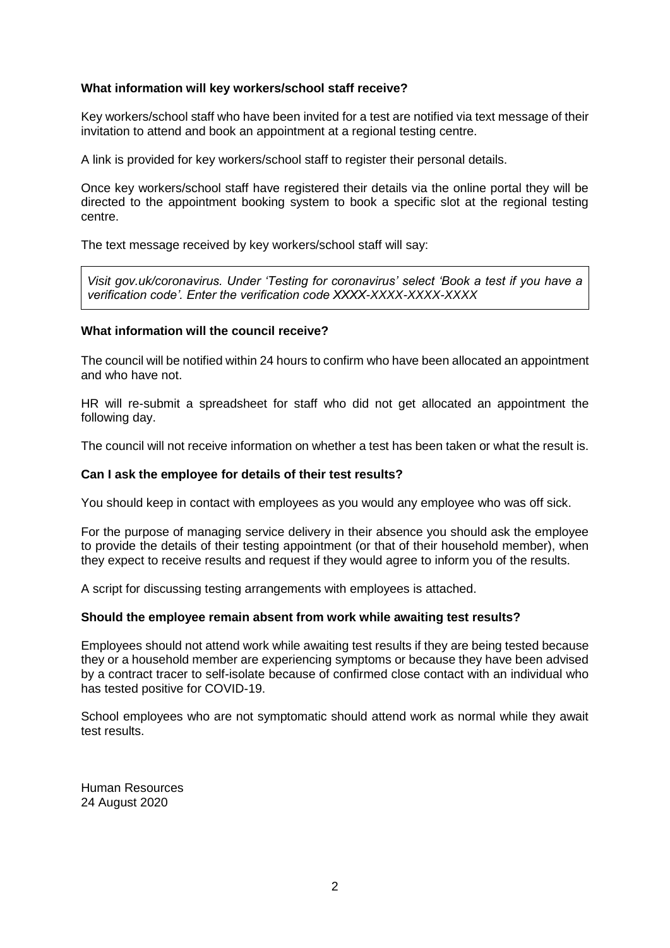# **What information will key workers/school staff receive?**

Key workers/school staff who have been invited for a test are notified via text message of their invitation to attend and book an appointment at a regional testing centre.

A link is provided for key workers/school staff to register their personal details.

Once key workers/school staff have registered their details via the online portal they will be directed to the appointment booking system to book a specific slot at the regional testing centre.

The text message received by key workers/school staff will say:

*Visit gov.uk/coronavirus. Under 'Testing for coronavirus' select 'Book a test if you have a verification code'. Enter the verification code XXXX-XXXX-XXXX-XXXX*

# **What information will the council receive?**

The council will be notified within 24 hours to confirm who have been allocated an appointment and who have not.

HR will re-submit a spreadsheet for staff who did not get allocated an appointment the following day.

The council will not receive information on whether a test has been taken or what the result is.

## **Can I ask the employee for details of their test results?**

You should keep in contact with employees as you would any employee who was off sick.

For the purpose of managing service delivery in their absence you should ask the employee to provide the details of their testing appointment (or that of their household member), when they expect to receive results and request if they would agree to inform you of the results.

A script for discussing testing arrangements with employees is attached.

## **Should the employee remain absent from work while awaiting test results?**

Employees should not attend work while awaiting test results if they are being tested because they or a household member are experiencing symptoms or because they have been advised by a contract tracer to self-isolate because of confirmed close contact with an individual who has tested positive for COVID-19.

School employees who are not symptomatic should attend work as normal while they await test results.

Human Resources 24 August 2020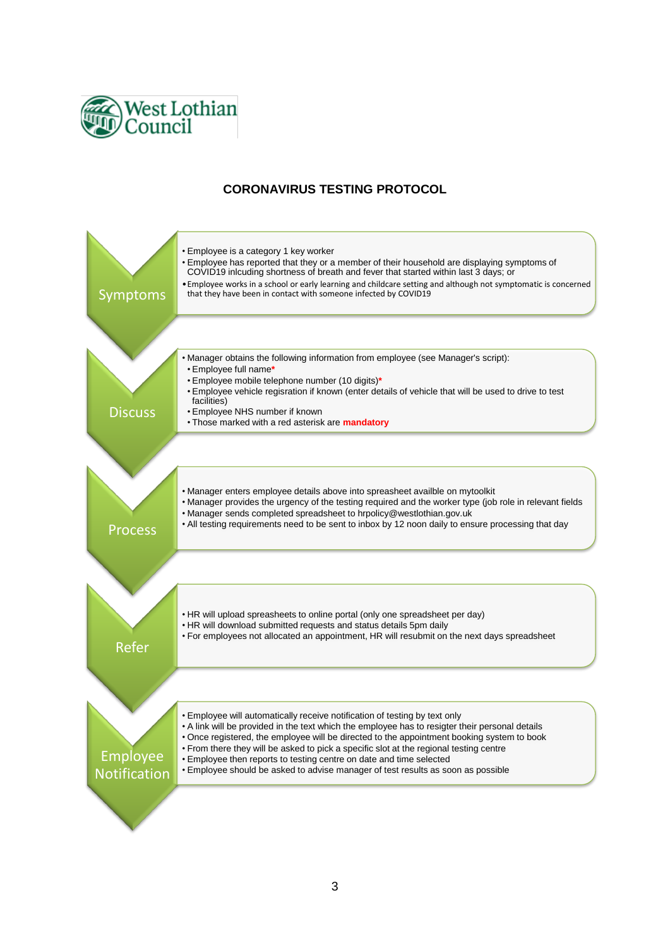

# **CORONAVIRUS TESTING PROTOCOL**

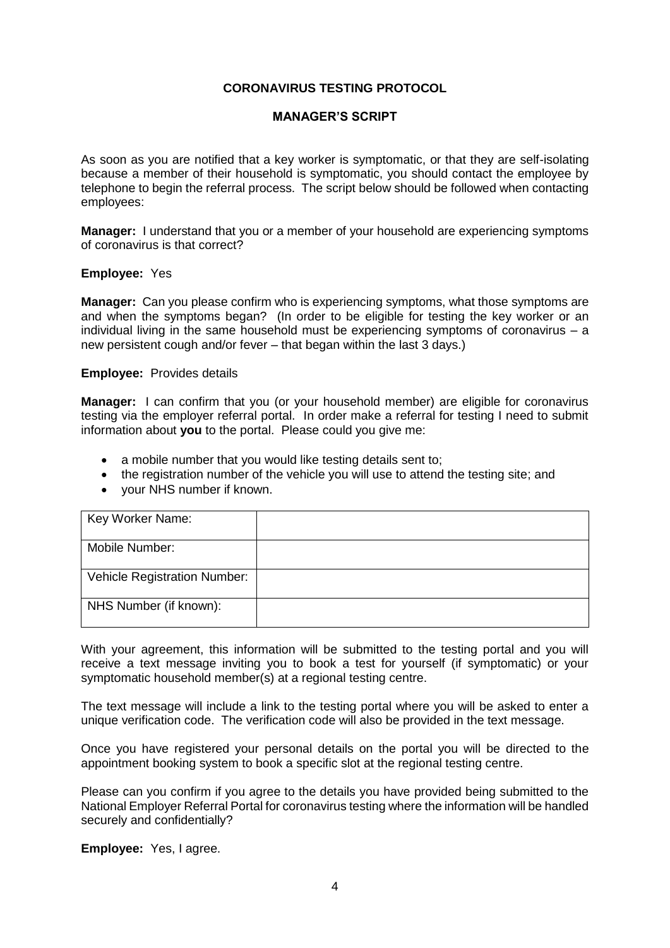# **CORONAVIRUS TESTING PROTOCOL**

# **MANAGER'S SCRIPT**

As soon as you are notified that a key worker is symptomatic, or that they are self-isolating because a member of their household is symptomatic, you should contact the employee by telephone to begin the referral process. The script below should be followed when contacting employees:

**Manager:** I understand that you or a member of your household are experiencing symptoms of coronavirus is that correct?

#### **Employee:** Yes

**Manager:** Can you please confirm who is experiencing symptoms, what those symptoms are and when the symptoms began? (In order to be eligible for testing the key worker or an individual living in the same household must be experiencing symptoms of coronavirus  $-$  a new persistent cough and/or fever – that began within the last 3 days.)

## **Employee:** Provides details

**Manager:** I can confirm that you (or your household member) are eligible for coronavirus testing via the employer referral portal. In order make a referral for testing I need to submit information about **you** to the portal. Please could you give me:

- a mobile number that you would like testing details sent to;
- the registration number of the vehicle you will use to attend the testing site; and
- your NHS number if known.

| Key Worker Name:                    |  |
|-------------------------------------|--|
| Mobile Number:                      |  |
| <b>Vehicle Registration Number:</b> |  |
| NHS Number (if known):              |  |

With your agreement, this information will be submitted to the testing portal and you will receive a text message inviting you to book a test for yourself (if symptomatic) or your symptomatic household member(s) at a regional testing centre.

The text message will include a link to the testing portal where you will be asked to enter a unique verification code. The verification code will also be provided in the text message.

Once you have registered your personal details on the portal you will be directed to the appointment booking system to book a specific slot at the regional testing centre.

Please can you confirm if you agree to the details you have provided being submitted to the National Employer Referral Portal for coronavirus testing where the information will be handled securely and confidentially?

**Employee:** Yes, I agree.